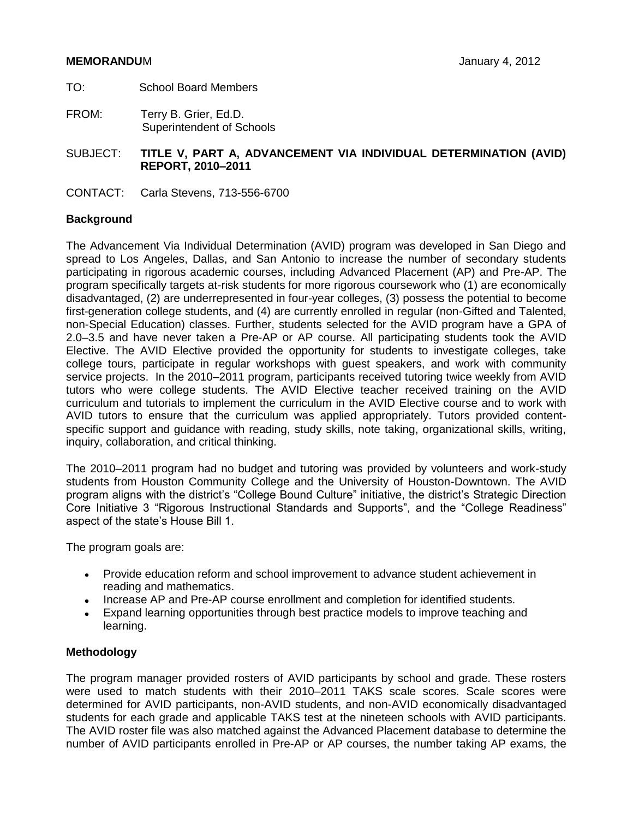## **MEMORANDU**M January 4, 2012

- TO: School Board Members
- FROM: Terry B. Grier, Ed.D. Superintendent of Schools
- SUBJECT: **TITLE V, PART A, ADVANCEMENT VIA INDIVIDUAL DETERMINATION (AVID) REPORT, 2010–2011**
- CONTACT: Carla Stevens, 713-556-6700

## **Background**

The Advancement Via Individual Determination (AVID) program was developed in San Diego and spread to Los Angeles, Dallas, and San Antonio to increase the number of secondary students participating in rigorous academic courses, including Advanced Placement (AP) and Pre-AP. The program specifically targets at-risk students for more rigorous coursework who (1) are economically disadvantaged, (2) are underrepresented in four-year colleges, (3) possess the potential to become first-generation college students, and (4) are currently enrolled in regular (non-Gifted and Talented, non-Special Education) classes. Further, students selected for the AVID program have a GPA of 2.0–3.5 and have never taken a Pre-AP or AP course. All participating students took the AVID Elective. The AVID Elective provided the opportunity for students to investigate colleges, take college tours, participate in regular workshops with guest speakers, and work with community service projects. In the 2010–2011 program, participants received tutoring twice weekly from AVID tutors who were college students. The AVID Elective teacher received training on the AVID curriculum and tutorials to implement the curriculum in the AVID Elective course and to work with AVID tutors to ensure that the curriculum was applied appropriately. Tutors provided contentspecific support and guidance with reading, study skills, note taking, organizational skills, writing, inquiry, collaboration, and critical thinking.

The 2010–2011 program had no budget and tutoring was provided by volunteers and work-study students from Houston Community College and the University of Houston-Downtown. The AVID program aligns with the district's "College Bound Culture" initiative, the district's Strategic Direction Core Initiative 3 "Rigorous Instructional Standards and Supports", and the "College Readiness" aspect of the state's House Bill 1.

The program goals are:

- Provide education reform and school improvement to advance student achievement in reading and mathematics.
- Increase AP and Pre-AP course enrollment and completion for identified students.
- Expand learning opportunities through best practice models to improve teaching and learning.

## **Methodology**

The program manager provided rosters of AVID participants by school and grade. These rosters were used to match students with their 2010–2011 TAKS scale scores. Scale scores were determined for AVID participants, non-AVID students, and non-AVID economically disadvantaged students for each grade and applicable TAKS test at the nineteen schools with AVID participants. The AVID roster file was also matched against the Advanced Placement database to determine the number of AVID participants enrolled in Pre-AP or AP courses, the number taking AP exams, the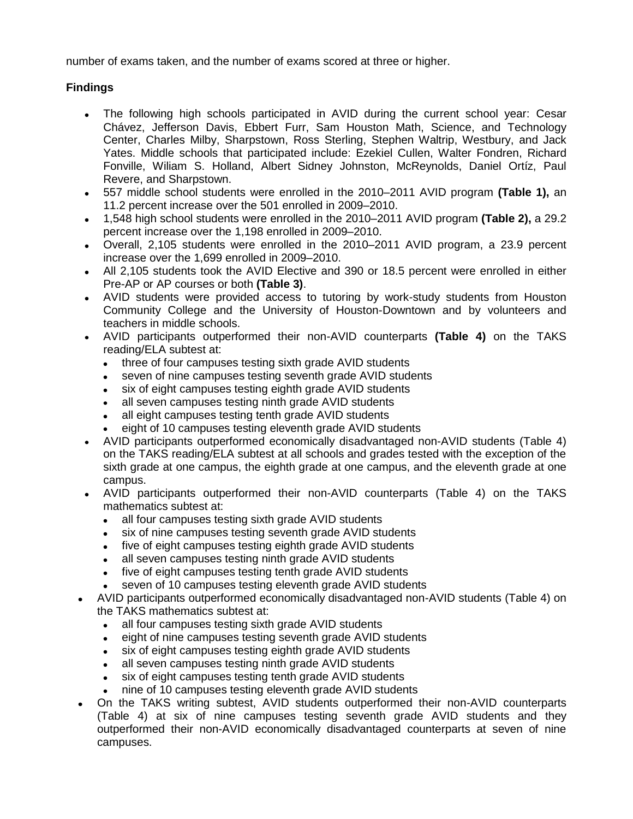number of exams taken, and the number of exams scored at three or higher.

# **Findings**

- The following high schools participated in AVID during the current school year: Cesar Chávez, Jefferson Davis, Ebbert Furr, Sam Houston Math, Science, and Technology Center, Charles Milby, Sharpstown, Ross Sterling, Stephen Waltrip, Westbury, and Jack Yates. Middle schools that participated include: Ezekiel Cullen, Walter Fondren, Richard Fonville, Wiliam S. Holland, Albert Sidney Johnston, McReynolds, Daniel Ortíz, Paul Revere, and Sharpstown.
- 557 middle school students were enrolled in the 2010–2011 AVID program **(Table 1),** an  $\bullet$ 11.2 percent increase over the 501 enrolled in 2009–2010.
- 1,548 high school students were enrolled in the 2010–2011 AVID program **(Table 2),** a 29.2  $\bullet$ percent increase over the 1,198 enrolled in 2009–2010.
- Overall, 2,105 students were enrolled in the 2010–2011 AVID program, a 23.9 percent increase over the 1,699 enrolled in 2009–2010.
- All 2,105 students took the AVID Elective and 390 or 18.5 percent were enrolled in either Pre-AP or AP courses or both **(Table 3)**.
- AVID students were provided access to tutoring by work-study students from Houston Community College and the University of Houston-Downtown and by volunteers and teachers in middle schools.
- AVID participants outperformed their non-AVID counterparts **(Table 4)** on the TAKS reading/ELA subtest at:
	- three of four campuses testing sixth grade AVID students  $\bullet$
	- seven of nine campuses testing seventh grade AVID students
	- six of eight campuses testing eighth grade AVID students
	- all seven campuses testing ninth grade AVID students
	- all eight campuses testing tenth grade AVID students  $\bullet$
	- eight of 10 campuses testing eleventh grade AVID students
- AVID participants outperformed economically disadvantaged non-AVID students (Table 4) on the TAKS reading/ELA subtest at all schools and grades tested with the exception of the sixth grade at one campus, the eighth grade at one campus, and the eleventh grade at one campus.
- AVID participants outperformed their non-AVID counterparts (Table 4) on the TAKS mathematics subtest at:
	- all four campuses testing sixth grade AVID students  $\bullet$
	- six of nine campuses testing seventh grade AVID students
	- five of eight campuses testing eighth grade AVID students  $\bullet$
	- all seven campuses testing ninth grade AVID students
	- five of eight campuses testing tenth grade AVID students
	- seven of 10 campuses testing eleventh grade AVID students
- AVID participants outperformed economically disadvantaged non-AVID students (Table 4) on the TAKS mathematics subtest at:
	- all four campuses testing sixth grade AVID students  $\bullet$
	- eight of nine campuses testing seventh grade AVID students  $\bullet$
	- six of eight campuses testing eighth grade AVID students  $\bullet$
	- all seven campuses testing ninth grade AVID students
	- six of eight campuses testing tenth grade AVID students
	- nine of 10 campuses testing eleventh grade AVID students
- On the TAKS writing subtest, AVID students outperformed their non-AVID counterparts  $\bullet$ (Table 4) at six of nine campuses testing seventh grade AVID students and they outperformed their non-AVID economically disadvantaged counterparts at seven of nine campuses.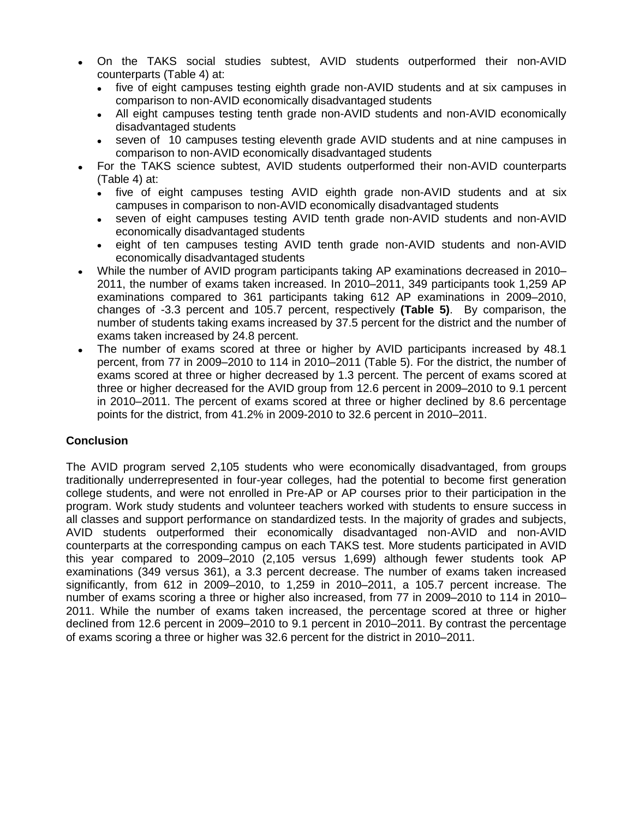- On the TAKS social studies subtest, AVID students outperformed their non-AVID  $\bullet$ counterparts (Table 4) at:
	- five of eight campuses testing eighth grade non-AVID students and at six campuses in comparison to non-AVID economically disadvantaged students
	- All eight campuses testing tenth grade non-AVID students and non-AVID economically  $\bullet$ disadvantaged students
	- $\bullet$ seven of 10 campuses testing eleventh grade AVID students and at nine campuses in comparison to non-AVID economically disadvantaged students
- For the TAKS science subtest, AVID students outperformed their non-AVID counterparts  $\bullet$ (Table 4) at:
	- five of eight campuses testing AVID eighth grade non-AVID students and at six  $\bullet$ campuses in comparison to non-AVID economically disadvantaged students
	- seven of eight campuses testing AVID tenth grade non-AVID students and non-AVID  $\bullet$ economically disadvantaged students
	- eight of ten campuses testing AVID tenth grade non-AVID students and non-AVID  $\bullet$ economically disadvantaged students
- While the number of AVID program participants taking AP examinations decreased in 2010– 2011, the number of exams taken increased. In 2010–2011, 349 participants took 1,259 AP examinations compared to 361 participants taking 612 AP examinations in 2009–2010, changes of -3.3 percent and 105.7 percent, respectively **(Table 5)**. By comparison, the number of students taking exams increased by 37.5 percent for the district and the number of exams taken increased by 24.8 percent.
- The number of exams scored at three or higher by AVID participants increased by 48.1 percent, from 77 in 2009–2010 to 114 in 2010–2011 (Table 5). For the district, the number of exams scored at three or higher decreased by 1.3 percent. The percent of exams scored at three or higher decreased for the AVID group from 12.6 percent in 2009–2010 to 9.1 percent in 2010–2011. The percent of exams scored at three or higher declined by 8.6 percentage points for the district, from 41.2% in 2009-2010 to 32.6 percent in 2010–2011.

# **Conclusion**

The AVID program served 2,105 students who were economically disadvantaged, from groups traditionally underrepresented in four-year colleges, had the potential to become first generation college students, and were not enrolled in Pre-AP or AP courses prior to their participation in the program. Work study students and volunteer teachers worked with students to ensure success in all classes and support performance on standardized tests. In the majority of grades and subjects, AVID students outperformed their economically disadvantaged non-AVID and non-AVID counterparts at the corresponding campus on each TAKS test. More students participated in AVID this year compared to 2009–2010 (2,105 versus 1,699) although fewer students took AP examinations (349 versus 361), a 3.3 percent decrease. The number of exams taken increased significantly, from 612 in 2009–2010, to 1,259 in 2010–2011, a 105.7 percent increase. The number of exams scoring a three or higher also increased, from 77 in 2009–2010 to 114 in 2010– 2011. While the number of exams taken increased, the percentage scored at three or higher declined from 12.6 percent in 2009–2010 to 9.1 percent in 2010–2011. By contrast the percentage of exams scoring a three or higher was 32.6 percent for the district in 2010–2011.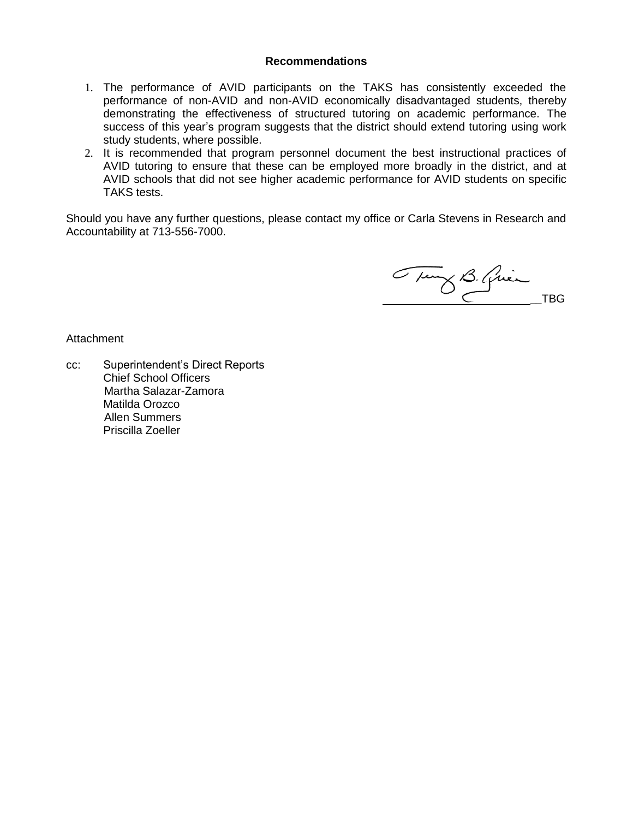#### **Recommendations**

- 1. The performance of AVID participants on the TAKS has consistently exceeded the performance of non-AVID and non-AVID economically disadvantaged students, thereby demonstrating the effectiveness of structured tutoring on academic performance. The success of this year's program suggests that the district should extend tutoring using work study students, where possible.
- 2. It is recommended that program personnel document the best instructional practices of AVID tutoring to ensure that these can be employed more broadly in the district, and at AVID schools that did not see higher academic performance for AVID students on specific TAKS tests.

Should you have any further questions, please contact my office or Carla Stevens in Research and Accountability at 713-556-7000.

Tuny B. Quincher

Attachment

cc: Superintendent's Direct Reports Chief School Officers Martha Salazar-Zamora Matilda Orozco Allen Summers Priscilla Zoeller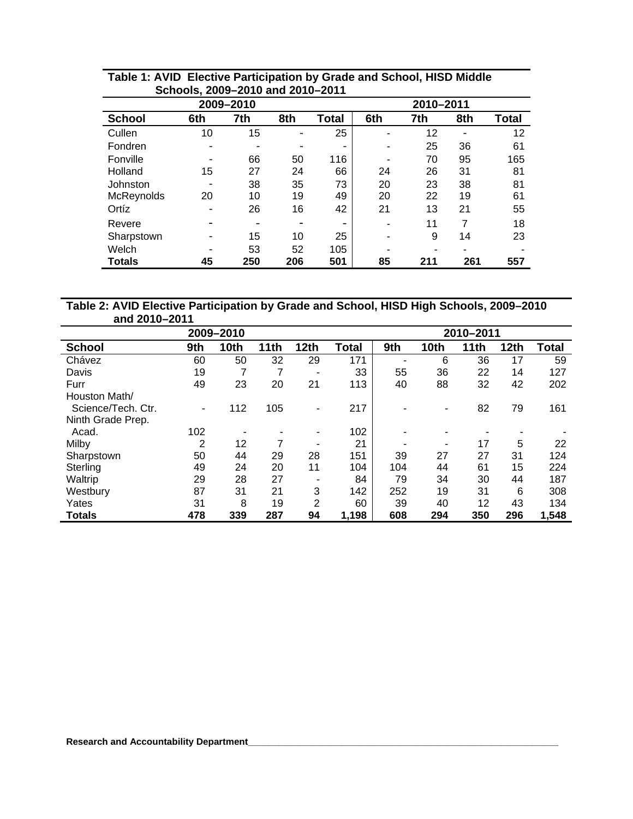| <u>UCHOUS, ZUUJ-ZUTU AHU ZUTU-ZUTT</u> |                          |           |           |                          |     |     |     |       |  |  |
|----------------------------------------|--------------------------|-----------|-----------|--------------------------|-----|-----|-----|-------|--|--|
|                                        |                          | 2009-2010 | 2010-2011 |                          |     |     |     |       |  |  |
| <b>School</b>                          | 6th                      | 7th       | 8th       | Total                    | 6th | 7th | 8th | Total |  |  |
| Cullen                                 | 10                       | 15        |           | 25                       | ۰   | 12  | -   | 12    |  |  |
| Fondren                                | $\overline{\phantom{a}}$ | -         |           | $\overline{\phantom{0}}$ | -   | 25  | 36  | 61    |  |  |
| Fonville                               | -                        | 66        | 50        | 116                      |     | 70  | 95  | 165   |  |  |
| Holland                                | 15                       | 27        | 24        | 66                       | 24  | 26  | 31  | 81    |  |  |
| Johnston                               | $\overline{\phantom{0}}$ | 38        | 35        | 73                       | 20  | 23  | 38  | 81    |  |  |
| McReynolds                             | 20                       | 10        | 19        | 49                       | 20  | 22  | 19  | 61    |  |  |
| Ortíz                                  | -                        | 26        | 16        | 42                       | 21  | 13  | 21  | 55    |  |  |
| Revere                                 | $\overline{\phantom{0}}$ |           |           | $\overline{\phantom{0}}$ |     | 11  | 7   | 18    |  |  |
| Sharpstown                             | -                        | 15        | 10        | 25                       |     | 9   | 14  | 23    |  |  |
| Welch                                  |                          | 53        | 52        | 105                      |     |     |     |       |  |  |
| Totals                                 | 45                       | 250       | 206       | 501                      | 85  | 211 | 261 | 557   |  |  |

# **Table 1: AVID Elective Participation by Grade and School, HISD Middle Schools, 2009–2010 and 2010–2011**

# **Table 2: AVID Elective Participation by Grade and School, HISD High Schools, 2009–2010 and 2010–2011**

| 2009-2010          |     |      |      |                |       | 2010-2011 |             |      |             |              |  |  |
|--------------------|-----|------|------|----------------|-------|-----------|-------------|------|-------------|--------------|--|--|
| <b>School</b>      | 9th | 10th | 11th | <b>12th</b>    | Total | 9th       | <b>10th</b> | 11th | <b>12th</b> | <b>Total</b> |  |  |
| Chávez             | 60  | 50   | 32   | 29             | 171   | -         | 6           | 36   | 17          | 59           |  |  |
| Davis              | 19  |      | 7    | ٠              | 33    | 55        | 36          | 22   | 14          | 127          |  |  |
| Furr               | 49  | 23   | 20   | 21             | 113   | 40        | 88          | 32   | 42          | 202          |  |  |
| Houston Math/      |     |      |      |                |       |           |             |      |             |              |  |  |
| Science/Tech. Ctr. | ۰.  | 112  | 105  | ۰              | 217   |           | ۰           | 82   | 79          | 161          |  |  |
| Ninth Grade Prep.  |     |      |      |                |       |           |             |      |             |              |  |  |
| Acad.              | 102 |      |      | ۰              | 102   |           |             |      |             |              |  |  |
| Milby              | 2   | 12   | 7    | -              | 21    |           | ۰           | 17   | 5           | 22           |  |  |
| Sharpstown         | 50  | 44   | 29   | 28             | 151   | 39        | 27          | 27   | 31          | 124          |  |  |
| Sterling           | 49  | 24   | 20   | 11             | 104   | 104       | 44          | 61   | 15          | 224          |  |  |
| Waltrip            | 29  | 28   | 27   |                | 84    | 79        | 34          | 30   | 44          | 187          |  |  |
| Westbury           | 87  | 31   | 21   | 3              | 142   | 252       | 19          | 31   | 6           | 308          |  |  |
| Yates              | 31  | 8    | 19   | $\overline{2}$ | 60    | 39        | 40          | 12   | 43          | 134          |  |  |
| <b>Totals</b>      | 478 | 339  | 287  | 94             | 1,198 | 608       | 294         | 350  | 296         | 1,548        |  |  |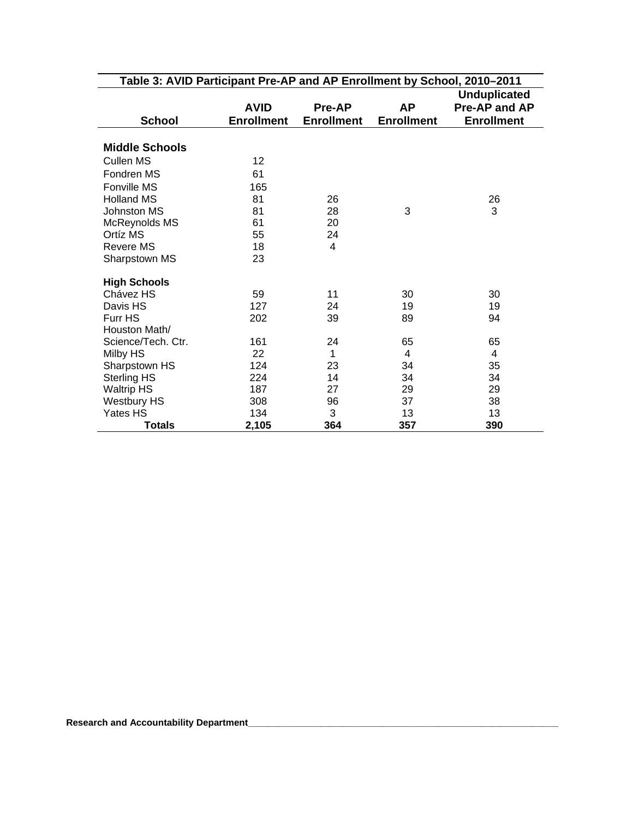| Table 3: AVID Participant Pre-AP and AP Enrollment by School, 2010–2011 |                   |                   |                   |                   |  |  |  |  |  |
|-------------------------------------------------------------------------|-------------------|-------------------|-------------------|-------------------|--|--|--|--|--|
|                                                                         |                   |                   |                   |                   |  |  |  |  |  |
|                                                                         | <b>AVID</b>       | <b>Pre-AP</b>     | <b>AP</b>         | Pre-AP and AP     |  |  |  |  |  |
| <b>School</b>                                                           | <b>Enrollment</b> | <b>Enrollment</b> | <b>Enrollment</b> | <b>Enrollment</b> |  |  |  |  |  |
|                                                                         |                   |                   |                   |                   |  |  |  |  |  |
| <b>Middle Schools</b>                                                   |                   |                   |                   |                   |  |  |  |  |  |
| <b>Cullen MS</b>                                                        | 12                |                   |                   |                   |  |  |  |  |  |
| Fondren MS                                                              | 61                |                   |                   |                   |  |  |  |  |  |
| Fonville MS                                                             | 165               |                   |                   |                   |  |  |  |  |  |
| <b>Holland MS</b>                                                       | 81                | 26                |                   | 26                |  |  |  |  |  |
| Johnston MS                                                             | 81                | 28                | 3                 | 3                 |  |  |  |  |  |
| McReynolds MS                                                           | 61                | 20                |                   |                   |  |  |  |  |  |
| Ortíz MS                                                                | 55                | 24                |                   |                   |  |  |  |  |  |
| <b>Revere MS</b>                                                        | 18                | 4                 |                   |                   |  |  |  |  |  |
| Sharpstown MS                                                           | 23                |                   |                   |                   |  |  |  |  |  |
| <b>High Schools</b>                                                     |                   |                   |                   |                   |  |  |  |  |  |
| Chávez HS                                                               | 59                | 11                | 30                | 30                |  |  |  |  |  |
| Davis HS                                                                | 127               | 24                | 19                | 19                |  |  |  |  |  |
| Furr HS                                                                 | 202               | 39                | 89                | 94                |  |  |  |  |  |
| Houston Math/                                                           |                   |                   |                   |                   |  |  |  |  |  |
| Science/Tech. Ctr.                                                      | 161               | 24                | 65                | 65                |  |  |  |  |  |
| Milby HS                                                                | 22                | 1                 | 4                 | 4                 |  |  |  |  |  |
| Sharpstown HS                                                           | 124               | 23                | 34                | 35                |  |  |  |  |  |
| <b>Sterling HS</b>                                                      | 224               | 14                | 34                | 34                |  |  |  |  |  |
| <b>Waltrip HS</b>                                                       | 187               | 27                | 29                | 29                |  |  |  |  |  |
| <b>Westbury HS</b>                                                      | 308               | 96                | 37                | 38                |  |  |  |  |  |
| Yates HS                                                                | 134               | 3                 | 13                | 13                |  |  |  |  |  |
| <b>Totals</b>                                                           | 2,105             | 364               | 357               | 390               |  |  |  |  |  |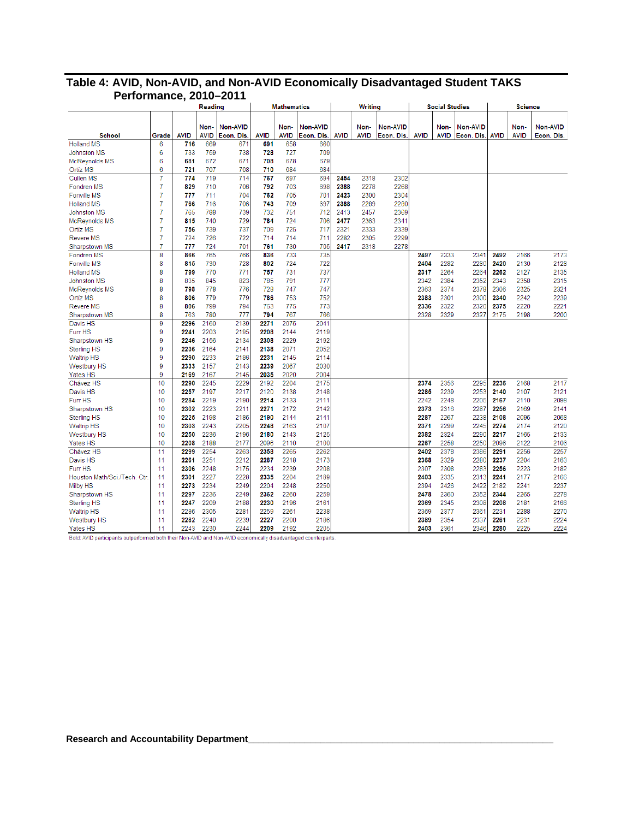|                                         |                | $v$ illianvo, $\boldsymbol{z}$ | Reading             |                              |              | <b>Mathematics</b>  |                              |             | <b>Writing</b>      |                        |              | <b>Social Studies</b> |                               |             | <b>Science</b>      |                               |
|-----------------------------------------|----------------|--------------------------------|---------------------|------------------------------|--------------|---------------------|------------------------------|-------------|---------------------|------------------------|--------------|-----------------------|-------------------------------|-------------|---------------------|-------------------------------|
|                                         |                |                                |                     |                              |              |                     |                              |             |                     |                        |              |                       |                               |             |                     |                               |
|                                         |                |                                |                     |                              |              |                     |                              |             |                     |                        |              |                       |                               |             |                     |                               |
| <b>School</b>                           | Grade          | <b>AVID</b>                    | Non-<br><b>AVID</b> | <b>Non-AVID</b><br>Econ. Dis | <b>AVID</b>  | Non-<br><b>AVID</b> | <b>Non-AVID</b><br>Econ. Dis | <b>AVID</b> | Non-<br><b>AVID</b> | Non-AVID<br>Econ. Dis. | <b>AVID</b>  | Non-<br><b>AVID</b>   | <b>Non-AVID</b><br>Econ. Dis. | <b>AVID</b> | Non-<br><b>AVID</b> | <b>Non-AVID</b><br>Econ. Dis. |
| <b>Holland MS</b>                       | 6              | 716                            | 669                 | 671                          | 691          | 658                 | 660                          |             |                     |                        |              |                       |                               |             |                     |                               |
| <b>Johnston MS</b>                      | 6              | 733                            | 759                 | 738                          | 728          | 727                 | 709                          |             |                     |                        |              |                       |                               |             |                     |                               |
| McReynolds MS                           | 6              | 681                            | 672                 | 671                          | 708          | 678                 | 679                          |             |                     |                        |              |                       |                               |             |                     |                               |
| <b>Ortíz MS</b>                         | 6              | 721                            | 707                 | 708                          | 710          | 684                 | 684                          |             |                     |                        |              |                       |                               |             |                     |                               |
| Cullen MS                               | 7              | 774                            | 719                 | 714                          | 767          | 697                 | 694                          | 2454        | 2318                | 2302                   |              |                       |                               |             |                     |                               |
| Fondren MS                              | $\overline{7}$ | 829                            | 710                 | 706                          | 792          | 703                 | 698                          | 2388        | 2278                | 2268                   |              |                       |                               |             |                     |                               |
| <b>Fonville MS</b>                      | 7              | 777                            | 711                 | 704                          | 762          | 705                 | 701                          | 2423        | 2300                | 2304                   |              |                       |                               |             |                     |                               |
| <b>Holland MS</b>                       | $\overline{7}$ | 766                            | 716                 | 706                          | 743          | 709                 | 697                          | 2388        | 2289                | 2280                   |              |                       |                               |             |                     |                               |
| <b>Johnston MS</b>                      | $\overline{7}$ | 765                            | 788                 | 739                          | 732          | 751                 | 712                          | 2413        | 2457                | 2369                   |              |                       |                               |             |                     |                               |
| McReynolds MS                           | $\overline{7}$ | 815                            | 740                 | 729                          | 784          | 724                 | 706                          | 2477        | 2363                | 2341                   |              |                       |                               |             |                     |                               |
| Ortíz MS                                | 7              | 756                            | 739                 | 737                          | 709          | 725                 | 717                          | 2321        | 2333                | 2339                   |              |                       |                               |             |                     |                               |
| <b>Revere MS</b>                        | $\overline{7}$ | 724                            | 726                 | 722                          | 714          | 714                 | 711                          | 2282        | 2305                | 2299                   |              |                       |                               |             |                     |                               |
| Sharpstown MS                           | 7              | 777                            | 724                 | 701                          | 761          | 730                 | 705                          | 2417        | 2318                | 2278                   |              |                       |                               |             |                     |                               |
| Fondren MS                              | 8              | 866                            | 765                 | 766                          | 836          | 733                 | 735                          |             |                     |                        | 2497         | 2333                  | 2341                          | 2492        | 2166                | 2173                          |
| <b>Fonville MS</b>                      | 8              | 815                            | 730                 | 728                          | 802          | 724                 | 722                          |             |                     |                        | 2404         | 2282                  | 2280                          | 2420        | 2130                | 2128                          |
| <b>Holland MS</b>                       | 8              | 799                            | 770                 | 771                          | 757          | 731                 | 737                          |             |                     |                        | 2317         | 2264                  | 2264                          | 2262        | 2127                | 2135                          |
| Johnston MS                             | 8              | 835                            | 845                 | 823                          | 785          | 791                 | 777                          |             |                     |                        | 2342         | 2384                  | 2352                          | 2343        | 2358                | 2315                          |
| McReynolds MS                           | 8              | 798                            | 778                 | 776                          | 728          | 747                 | 747                          |             |                     |                        | 2363         | 2374                  | 2378                          | 2306        | 2325                | 2321                          |
| Ortíz MS                                | 8              | 806                            | 779                 | 779                          | 786          | 753                 | 752                          |             |                     |                        | 2383         | 2301                  | 2300                          | 2340        | 2242                | 2239                          |
| <b>Revere MS</b>                        | 8              | 806                            | 799                 | 794                          | 763          | 775                 | 773                          |             |                     |                        | 2336         | 2322                  | 2320                          | 2375        | 2220                | 2221                          |
| Sharpstown MS                           | 8              | 763                            | 780                 | 777                          | 794          | 767                 | 766                          |             |                     |                        | 2328         | 2329                  | 2327                          | 2175        | 2198                | 2200                          |
| Davis HS                                | 9              | 2296                           | 2160                | 2139                         | 2271         | 2075                | 2041                         |             |                     |                        |              |                       |                               |             |                     |                               |
| Furr HS                                 | 9              | 2241                           | 2203                | 2195                         | 2208         | 2144                | 2119                         |             |                     |                        |              |                       |                               |             |                     |                               |
| Sharpstown HS                           | 9              | 2246                           | 2156                | 2134                         | 2308         | 2229                | 2192                         |             |                     |                        |              |                       |                               |             |                     |                               |
| <b>Sterling HS</b>                      | 9              | 2236                           | 2164                | 2141                         | 2138         | 2071                | 2052                         |             |                     |                        |              |                       |                               |             |                     |                               |
| <b>Waltrip HS</b>                       | 9              | 2290                           | 2233                | 2186                         | 2231         | 2145                | 2114                         |             |                     |                        |              |                       |                               |             |                     |                               |
| <b>Westbury HS</b>                      | 9              | 2333                           | 2157                | 2143                         | 2239         | 2067                | 2030                         |             |                     |                        |              |                       |                               |             |                     |                               |
| <b>Yates HS</b>                         | 9              | 2169                           | 2167                | 2145                         | 2035         | 2020                | 2004                         |             |                     |                        |              |                       |                               |             |                     |                               |
| Chávez HS                               | 10             | 2290                           | 2245                | 2229                         | 2192         | 2204                | 2175                         |             |                     |                        | 2374         | 2356                  | 2295                          | 2236        | 2168                | 2117                          |
| Davis HS                                | 10             | 2257                           | 2197                | 2217                         | 2120         | 2138                | 2148                         |             |                     |                        | 2285         | 2239                  | 2253                          | 2140        | 2107                | 2121                          |
| Furr HS                                 | 10             | 2284                           | 2219                | 2190                         | 2214         | 2133                | 2111                         |             |                     |                        | 2242         | 2248                  | 2205                          | 2167        | 2110                | 2098                          |
| Sharpstown HS                           | 10             | 2302                           | 2223                | 2211                         | 2271         | 2172                | 2142                         |             |                     |                        | 2373         | 2316                  | 2287                          | 2256        | 2169                | 2141                          |
| <b>Sterling HS</b>                      | 10             | 2225                           | 2198                | 2186                         | 2190         | 2144                | 2141                         |             |                     |                        | 2287         | 2267                  | 2238                          | 2108        | 2096                | 2068                          |
| <b>Waltrip HS</b>                       | 10             | 2303                           | 2243                | 2205                         | 2248         | 2163                | 2107                         |             |                     |                        | 2371         | 2299                  | 2245                          | 2274        | 2174                | 2120                          |
| <b>Westbury HS</b>                      | 10             | 2250                           | 2236                | 2196                         | 2180         | 2143                | 2125                         |             |                     |                        | 2382         | 2324                  | 2290                          | 2217        | 2165                | 2133                          |
| <b>Yates HS</b>                         | 10             | 2208                           | 2188                | 2177                         | 2096         | 2110                | 2100                         |             |                     |                        | 2267         | 2258                  | 2250                          | 2096        | 2122                | 2106                          |
| Chávez HS                               | 11             | 2299                           | 2254                | 2263                         | 2358         | 2265                | 2262                         |             |                     |                        | 2402         | 2378                  | 2386                          | 2291        | 2256                | 2257                          |
| Davis HS                                | 11             | 2261                           | 2251                | 2212                         | 2287         | 2218                | 2173                         |             |                     |                        | 2368         | 2329                  | 2280                          | 2237        | 2204                | 2163                          |
| Furr HS                                 | 11             | 2306                           | 2248                | 2175                         | 2234         | 2239                | 2208                         |             |                     |                        | 2307         | 2308                  | 2283                          | 2256        | 2223                | 2182                          |
| Houston Math/Sci./Tech. Ctr.            |                | 2301                           | 2227                | 2228                         | 2335         | 2204                | 2189                         |             |                     |                        | 2403         | 2335                  | 2313                          | 2241        | 2177                | 2166                          |
| Milby HS                                | 11<br>11       | 2273                           | 2234                | 2249                         | 2204         | 2248                | 2250                         |             |                     |                        | 2394         | 2426                  | 2422                          | 2182        | 2241                | 2237                          |
|                                         |                | 2297                           | 2236                | 2249                         |              | 2260                | 2259                         |             |                     |                        |              | 2360                  | 2352                          | 2344        | 2265                | 2278                          |
| Sharpstown HS<br><b>Sterling HS</b>     | 11<br>11       | 2247                           | 2209                | 2188                         | 2362<br>2230 | 2196                | 2161                         |             |                     |                        | 2478<br>2369 | 2345                  | 2308                          | 2208        | 2181                | 2166                          |
|                                         | 11             | 2286                           | 2305                | 2281                         | 2259         | 2261                | 2238                         |             |                     |                        | 2369         | 2377                  | 2361                          | 2231        | 2288                | 2270                          |
| <b>Waltrip HS</b><br><b>Westbury HS</b> | 11             | 2282                           | 2240                | 2239                         | 2227         | 2200                | 2186                         |             |                     |                        | 2389         | 2354                  | 2337                          | 2261        | 2231                | 2224                          |
|                                         | 11             | 2243                           | 2230                | 2244                         | 2209         | 2192                | 2205                         |             |                     |                        | 2403         | 2361                  | 2346                          | 2280        | 2225                | 2224                          |
| Yates HS                                |                |                                |                     |                              |              |                     |                              |             |                     |                        |              |                       |                               |             |                     |                               |

#### **Table 4: AVID, Non-AVID, and Non-AVID Economically Disadvantaged Student TAKS Performance, 2010–2011**

Bold: AVID participants outperformed both their Non-AVID and Non-AVID economically disadvantaged counterparts.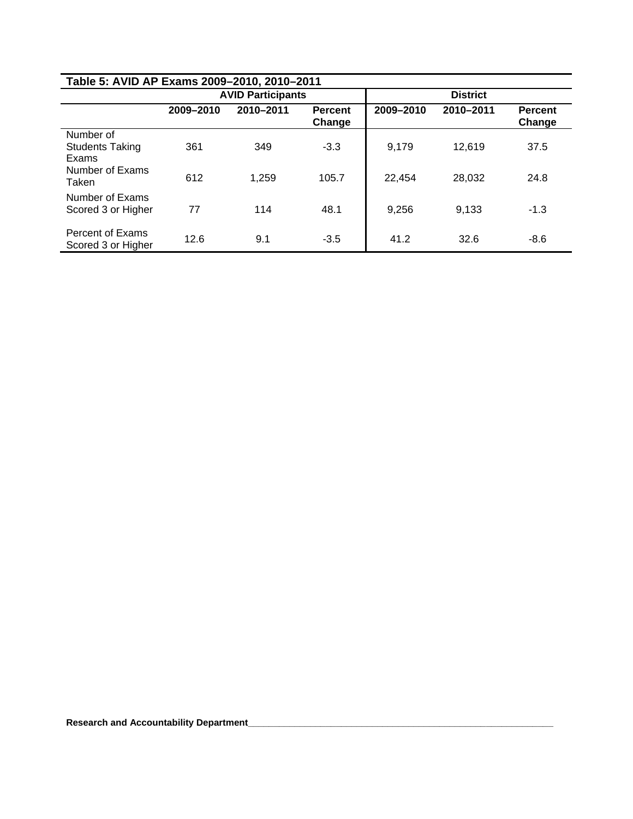| Table 5: AVID AP Exams 2009-2010, 2010-2011  |           |                          |                          |                 |           |                          |  |  |  |  |
|----------------------------------------------|-----------|--------------------------|--------------------------|-----------------|-----------|--------------------------|--|--|--|--|
|                                              |           | <b>AVID Participants</b> |                          | <b>District</b> |           |                          |  |  |  |  |
|                                              | 2009-2010 | 2010-2011                | <b>Percent</b><br>Change | 2009-2010       | 2010-2011 | <b>Percent</b><br>Change |  |  |  |  |
| Number of<br><b>Students Taking</b><br>Exams | 361       | 349                      | $-3.3$                   | 9,179           | 12,619    | 37.5                     |  |  |  |  |
| Number of Exams<br>Taken                     | 612       | 1.259                    | 105.7                    | 22,454          | 28,032    | 24.8                     |  |  |  |  |
| Number of Exams<br>Scored 3 or Higher        | 77        | 114                      | 48.1                     | 9,256           | 9.133     | $-1.3$                   |  |  |  |  |
| Percent of Exams<br>Scored 3 or Higher       | 12.6      | 9.1                      | $-3.5$                   | 41.2            | 32.6      | $-8.6$                   |  |  |  |  |